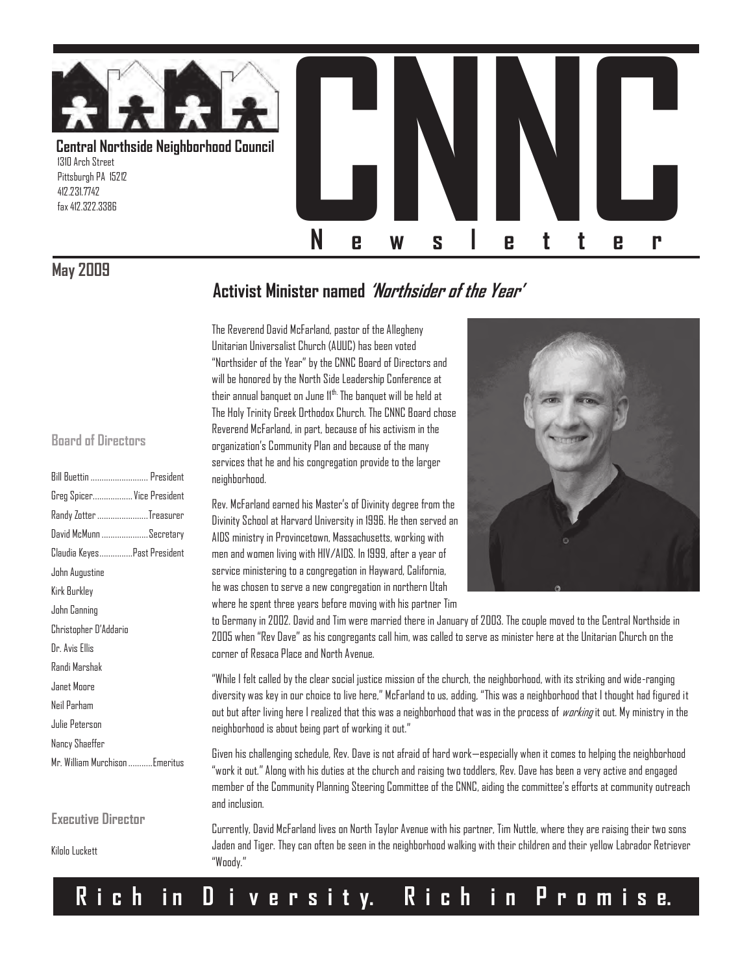

## **May 2009**

## **Activist Minister named "Northsider of the Year"**

The Reverend David McFarland, pastor of the Allegheny Unitarian Universalist Church (AUUC) has been voted "Northsider of the Year" by the CNNC Board of Directors and will be honored by the North Side Leadership Conference at their annual banquet on June 11<sup>th.</sup> The banquet will be held at The Holy Trinity Greek Orthodox Church. The CNNC Board chose Reverend McFarland, in part, because of his activism in the organization's Community Plan and because of the many services that he and his congregation provide to the larger neighborhood.

Rev. McFarland earned his Master's of Divinity degree from the Divinity School at Harvard University in 1996. He then served an AIDS ministry in Provincetown, Massachusetts, working with men and women living with HIV/AIDS. In 1999, after a year of service ministering to a congregation in Hayward, California, he was chosen to serve a new congregation in northern Utah where he spent three years before moving with his partner Tim



to Germany in 2002. David and Tim were married there in January of 2003. The couple moved to the Central Northside in 2005 when "Rev Dave" as his congregants call him, was called to serve as minister here at the Unitarian Church on the corner of Resaca Place and North Avenue.

"While I felt called by the clear social justice mission of the church, the neighborhood, with its striking and wide-ranging diversity was key in our choice to live here," McFarland to us, adding, "This was a neighborhood that I thought had figured it out but after living here I realized that this was a neighborhood that was in the process of *working* it out. My ministry in the neighborhood is about being part of working it out."

Given his challenging schedule, Rev. Dave is not afraid of hard work—especially when it comes to helping the neighborhood "work it out." Along with his duties at the church and raising two toddlers, Rev. Dave has been a very active and engaged member of the Community Planning Steering Committee of the CNNC, aiding the committee's efforts at community outreach and inclusion.

Currently, David McFarland lives on North Taylor Avenue with his partner, Tim Nuttle, where they are raising their two sons Jaden and Tiger. They can often be seen in the neighborhood walking with their children and their yellow Labrador Retriever "Woody."

#### **Board of Directors**

| Bill Buettin  President        |
|--------------------------------|
| Greg Spicer Vice President     |
| Randy Zotter Treasurer         |
| David McMunn Secretary         |
| Claudia KeyesPast President    |
| John Augustine                 |
| Kirk Burkley                   |
| John Canning                   |
| Christopher D'Addario          |
| Dr. Avis Ellis                 |
| Randi Marshak                  |
| Janet Moore                    |
| Neil Parham                    |
| Julie Peterson                 |
| Nancy Shaeffer                 |
| Mr. William Murchison Emeritus |
|                                |

**Executive Director**

Kilolo Luckett

## **R i c h i n D i v e r s i t y. R i c h i n P r o m i s e.**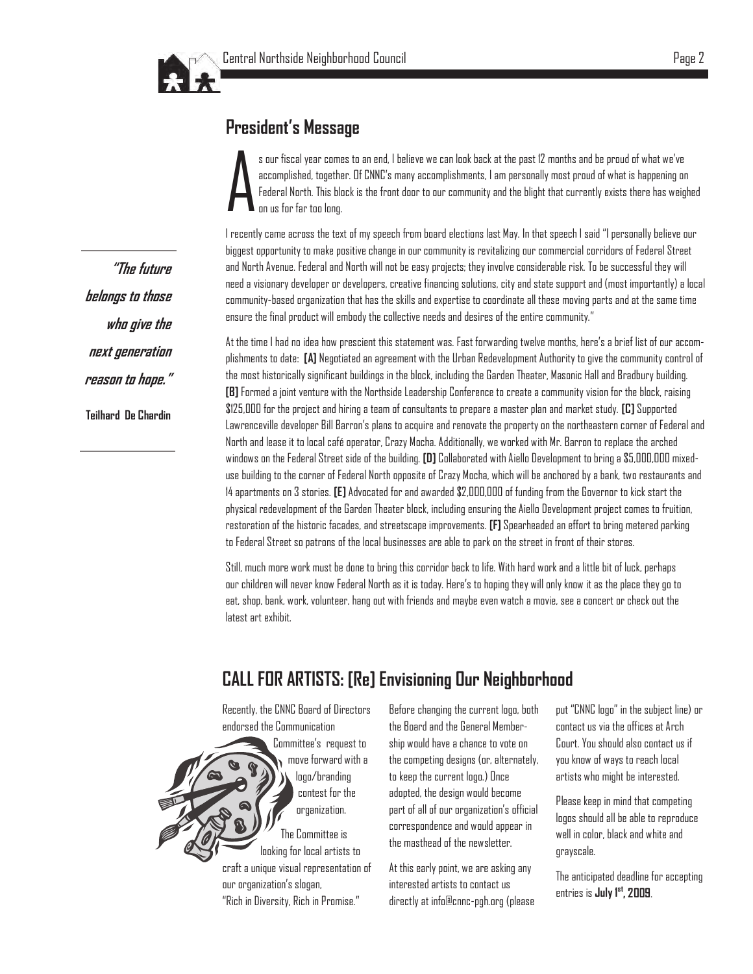

## **President"s Message**

A s our fiscal year comes to an end, I believe we can look back at the past 12 months and be proud of what we've accomplished, together. Of CNNC's many accomplishments, I am personally most proud of what is happening on Federal North. This block is the front door to our community and the blight that currently exists there has weighed on us for far too long.

I recently came across the text of my speech from board elections last May. In that speech I said "I personally believe our biggest opportunity to make positive change in our community is revitalizing our commercial corridors of Federal Street and North Avenue. Federal and North will not be easy projects; they involve considerable risk. To be successful they will need a visionary developer or developers, creative financing solutions, city and state support and (most importantly) a local community-based organization that has the skills and expertise to coordinate all these moving parts and at the same time ensure the final product will embody the collective needs and desires of the entire community."

At the time I had no idea how prescient this statement was. Fast forwarding twelve months, here's a brief list of our accomplishments to date: **[A]** Negotiated an agreement with the Urban Redevelopment Authority to give the community control of the most historically significant buildings in the block, including the Garden Theater, Masonic Hall and Bradbury building. **[B]** Formed a joint venture with the Northside Leadership Conference to create a community vision for the block, raising \$125,000 for the project and hiring a team of consultants to prepare a master plan and market study. **[C]** Supported Lawrenceville developer Bill Barron's plans to acquire and renovate the property on the northeastern corner of Federal and North and lease it to local café operator, Crazy Mocha. Additionally, we worked with Mr. Barron to replace the arched windows on the Federal Street side of the building. **[D]** Collaborated with Aiello Development to bring a \$5,000,000 mixeduse building to the corner of Federal North opposite of Crazy Mocha, which will be anchored by a bank, two restaurants and 14 apartments on 3 stories. **[E]** Advocated for and awarded \$2,000,000 of funding from the Governor to kick start the physical redevelopment of the Garden Theater block, including ensuring the Aiello Development project comes to fruition, restoration of the historic facades, and streetscape improvements. **[F]** Spearheaded an effort to bring metered parking to Federal Street so patrons of the local businesses are able to park on the street in front of their stores.

Still, much more work must be done to bring this corridor back to life. With hard work and a little bit of luck, perhaps our children will never know Federal North as it is today. Here's to hoping they will only know it as the place they go to eat, shop, bank, work, volunteer, hang out with friends and maybe even watch a movie, see a concert or check out the latest art exhibit.

## **CALL FOR ARTISTS: [Re] Envisioning Our Neighborhood**

Recently, the CNNC Board of Directors endorsed the Communication

Committee's request to move forward with a logo/branding contest for the organization. The Committee is looking for local artists to craft a unique visual representation of our organization's slogan, "Rich in Diversity, Rich in Promise."

Before changing the current logo, both the Board and the General Membership would have a chance to vote on the competing designs (or, alternately, to keep the current logo.) Once adopted, the design would become part of all of our organization's official correspondence and would appear in the masthead of the newsletter.

At this early point, we are asking any interested artists to contact us directly at info@cnnc-pgh.org (please put "CNNC logo" in the subject line) or contact us via the offices at Arch Court. You should also contact us if you know of ways to reach local artists who might be interested.

Please keep in mind that competing logos should all be able to reproduce well in color, black and white and grayscale.

The anticipated deadline for accepting entries is **July 1st, 2009**.

**"The future belongs to those who give the next generation reason to hope."**

**Teilhard De Chardin**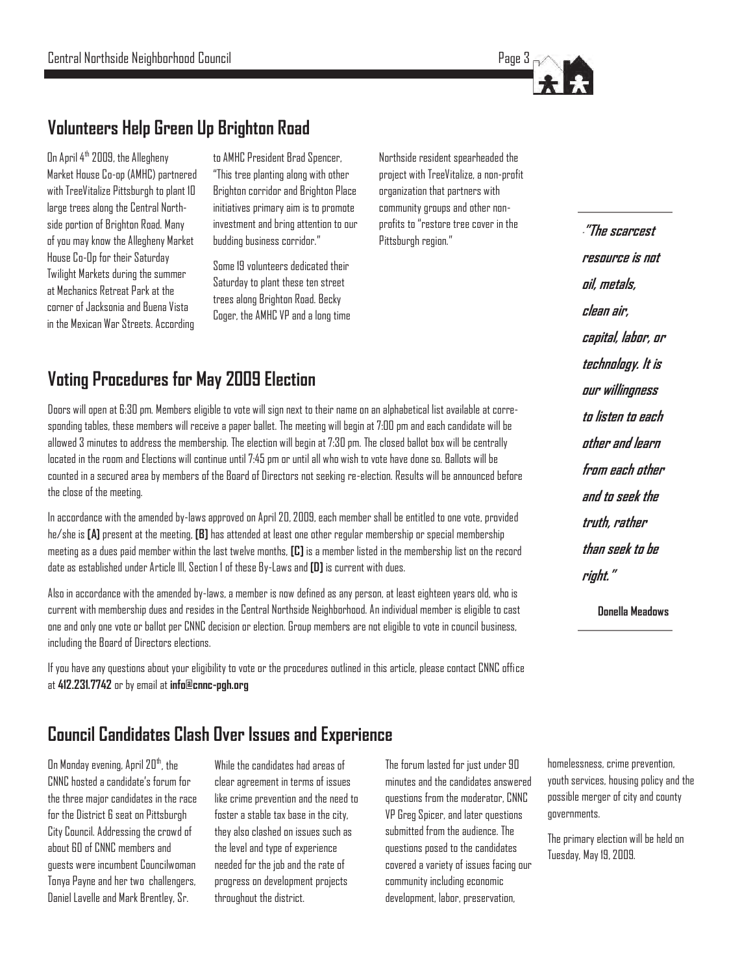

## **Volunteers Help Green Up Brighton Road**

On April  $4^{\text{th}}$  2009, the Allegheny Market House Co-op (AMHC) partnered with TreeVitalize Pittsburgh to plant 10 large trees along the Central Northside portion of Brighton Road. Many of you may know the Allegheny Market House Co-Op for their Saturday Twilight Markets during the summer at Mechanics Retreat Park at the corner of Jacksonia and Buena Vista in the Mexican War Streets. According

to AMHC President Brad Spencer, "This tree planting along with other Brighton corridor and Brighton Place initiatives primary aim is to promote investment and bring attention to our budding business corridor."

Some 19 volunteers dedicated their Saturday to plant these ten street trees along Brighton Road. Becky Coger, the AMHC VP and a long time Northside resident spearheaded the project with TreeVitalize, a non-profit organization that partners with community groups and other nonprofits to "restore tree cover in the Pittsburgh region."

## **Voting Procedures for May 2009 Election**

Doors will open at 6:30 pm. Members eligible to vote will sign next to their name on an alphabetical list available at corresponding tables, these members will receive a paper ballet. The meeting will begin at 7:00 pm and each candidate will be allowed 3 minutes to address the membership. The election will begin at 7:30 pm. The closed ballot box will be centrally located in the room and Elections will continue until 7:45 pm or until all who wish to vote have done so. Ballots will be counted in a secured area by members of the Board of Directors not seeking re-election. Results will be announced before the close of the meeting.

In accordance with the amended by-laws approved on April 20, 2009, each member shall be entitled to one vote, provided he/she is **[A]** present at the meeting, **[B]** has attended at least one other regular membership or special membership meeting as a dues paid member within the last twelve months, **[C]** is a member listed in the membership list on the record date as established under Article lll, Section 1 of these By-Laws and **[D]** is current with dues.

Also in accordance with the amended by-laws, a member is now defined as any person, at least eighteen years old, who is current with membership dues and resides in the Central Northside Neighborhood. An individual member is eligible to cast one and only one vote or ballot per CNNC decision or election. Group members are not eligible to vote in council business, including the Board of Directors elections.

If you have any questions about your eligibility to vote or the procedures outlined in this article, please contact CNNC office at **412.231.7742** or by email at **info@cnnc-pgh.org**

## **Council Candidates Clash Over Issues and Experience**

On Monday evening, April 20<sup>th</sup>, the CNNC hosted a candidate's forum for the three major candidates in the race for the District 6 seat on Pittsburgh City Council. Addressing the crowd of about 60 of CNNC members and guests were incumbent Councilwoman Tonya Payne and her two challengers, Daniel Lavelle and Mark Brentley, Sr.

While the candidates had areas of clear agreement in terms of issues like crime prevention and the need to foster a stable tax base in the city, they also clashed on issues such as the level and type of experience needed for the job and the rate of progress on development projects throughout the district.

The forum lasted for just under 90 minutes and the candidates answered questions from the moderator, CNNC VP Greg Spicer, and later questions submitted from the audience. The questions posed to the candidates covered a variety of issues facing our community including economic development, labor, preservation,

**""The scarcest resource is not oil, metals, clean air, capital, labor, or technology. It is our willingness to listen to each other and learn from each other and to seek the truth, rather than seek to be right."**

**Donella Meadows**

homelessness, crime prevention, youth services, housing policy and the possible merger of city and county governments.

The primary election will be held on Tuesday, May 19, 2009.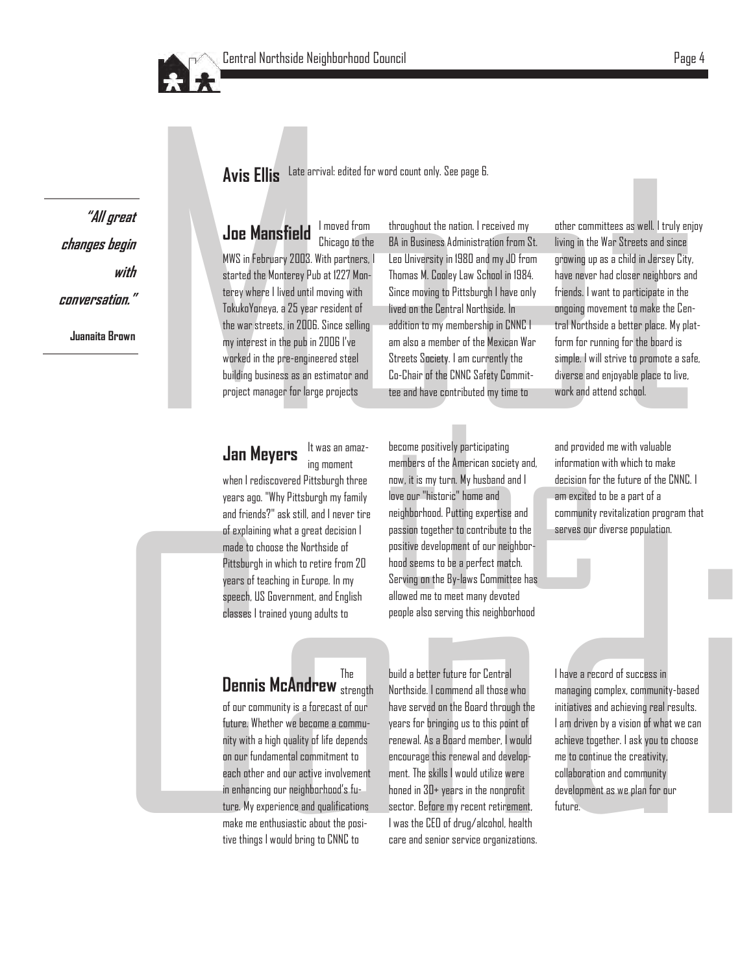

**"All great changes begin with conversation." Juanaita Brown**

**Avis Ellis** Late arrival: edited for word count only. See page 6.

**Avis Ellis** Late arrival: edited for word count only. See page 6.<br> **Joe Mansfield** I moved from throughout the action. I received my other committees as well. Itruly enjoy (WS in February 2003. With pertners. I Leu Unive **Joe Mansfield** I moved from throughout the nation. I received my I moved from Chicago to the MWS in February 2003. With partners, I started the Monterey Pub at 1227 Monterey where I lived until moving with TokukoYoneya, a 25 year resident of the war streets, in 2006. Since selling my interest in the pub in 2006 I've worked in the pre-engineered steel building business as an estimator and project manager for large projects

BA in Business Administration from St. Leo University in 1980 and my JD from Thomas M. Cooley Law School in 1984. Since moving to Pittsburgh I have only lived on the Central Northside. In addition to my membership in CNNC I am also a member of the Mexican War Streets Society. I am currently the Co-Chair of the CNNC Safety Committee and have contributed my time to

It was an amazing moment **Jan Meyers** 

when I rediscovered Pittsburgh three years ago. "Why Pittsburgh my family and friends?" ask still, and I never tire of explaining what a great decision I made to choose the Northside of Pittsburgh in which to retire from 20 years of teaching in Europe. In my speech, US Government, and English classes I trained young adults to

**Lan Meyers** R was an anias-<br>
uncomparative of the American statistical control in the statistical control in the statistical control in the statistical control in the statistical control in the statistical control in the become positively participating members of the American society and, now, it is my turn. My husband and I love our "historic" home and neighborhood. Putting expertise and passion together to contribute to the positive development of our neighborhood seems to be a perfect match. Serving on the By-laws Committee has allowed me to meet many devoted people also serving this neighborhood

other committees as well. I truly enjoy living in the War Streets and since growing up as a child in Jersey City, have never had closer neighbors and friends. I want to participate in the ongoing movement to make the Central Northside a better place. My platform for running for the board is simple. I will strive to promote a safe, diverse and enjoyable place to live, work and attend school.

and provided me with valuable information with which to make decision for the future of the CNNC. I am excited to be a part of a community revitalization program that serves our diverse population.

#### Dennis McAndrew The build a better future for Central<br>Dennis McAndrew <sub>strength</sub> Northside. I commend all those v The

of our community is a forecast of our future. Whether we become a community with a high quality of life depends on our fundamental commitment to each other and our active involvement in enhancing our neighborhood's future. My experience and qualifications make me enthusiastic about the positive things I would bring to CNNC to

Northside. I commend all those who have served on the Board through the years for bringing us to this point of renewal. As a Board member, I would encourage this renewal and development. The skills I would utilize were honed in 30+ years in the nonprofit sector. Before my recent retirement, I was the CEO of drug/alcohol, health care and senior service organizations. I have a record of success in managing complex, community-based initiatives and achieving real results. I am driven by a vision of what we can achieve together. I ask you to choose me to continue the creativity, collaboration and community development as we plan for our future.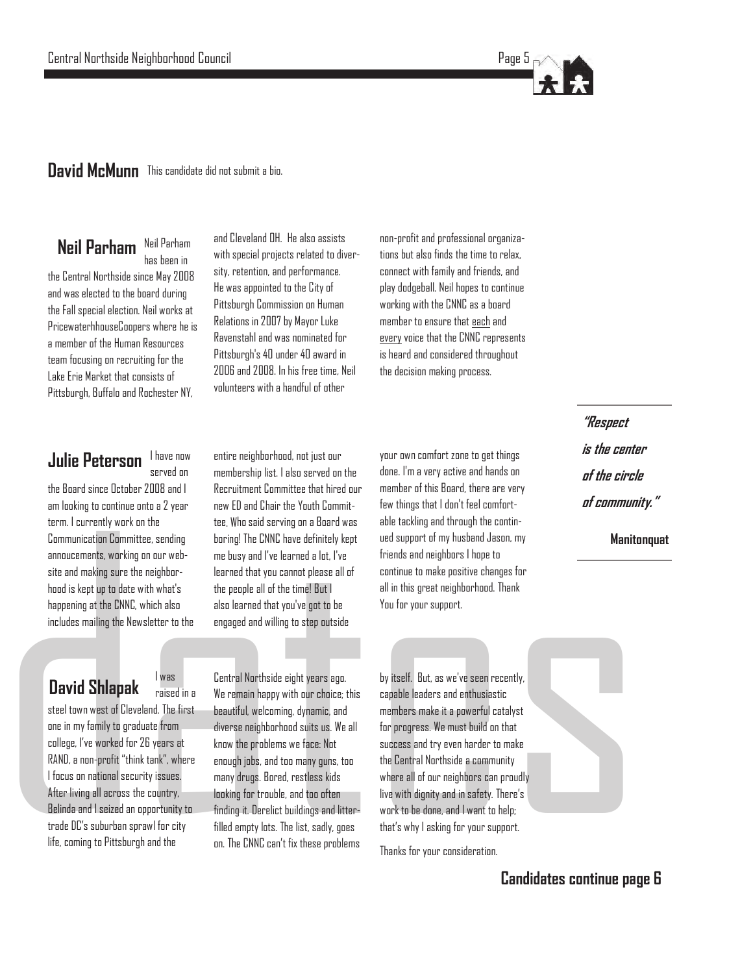### **David McMunn** This candidate did not submit a bio.

#### **Neil Parham** Neil Parham has been in

the Central Northside since May 2008 and was elected to the board during the Fall special election. Neil works at PricewaterhhouseCoopers where he is a member of the Human Resources team focusing on recruiting for the Lake Erie Market that consists of Pittsburgh, Buffalo and Rochester NY,

and Cleveland OH. He also assists with special projects related to diversity, retention, and performance. He was appointed to the City of Pittsburgh Commission on Human Relations in 2007 by Mayor Luke Ravenstahl and was nominated for Pittsburgh's 40 under 40 award in 2006 and 2008. In his free time, Neil volunteers with a handful of other

non-profit and professional organizations but also finds the time to relax, connect with family and friends, and play dodgeball. Neil hopes to continue working with the CNNC as a board member to ensure that each and every voice that the CNNC represents is heard and considered throughout the decision making process.

#### **Julie Peterson** I have now served on

the Board since October 2008 and I am looking to continue onto a 2 year term. I currently work on the Communication Committee, sending annoucements, working on our website and making sure the neighborhood is kept up to date with what's happening at the CNNC, which also includes mailing the Newsletter to the

**Julie Peterson** Invocence entire neighborhood, not just our particular particular tens in the second of the control of the control of the control of the control of the control of the control of the control of the control entire neighborhood, not just our membership list. I also served on the Recruitment Committee that hired our new ED and Chair the Youth Committee. Who said serving on a Board was boring! The CNNC have definitely kept me busy and I've learned a lot, I've learned that you cannot please all of the people all of the time! But I also learned that you've got to be engaged and willing to step outside

your own comfort zone to get things done. I'm a very active and hands on member of this Board, there are very few things that I don't feel comfortable tackling and through the continued support of my husband Jason, my friends and neighbors I hope to continue to make positive changes for all in this great neighborhood. Thank You for your support.

**"Respect is the center of the circle of community."**

**Manitonquat**

**David Shlapak** 

raised in a

steel town west of Cleveland. The first one in my family to graduate from college, I've worked for 26 years at RAND, a non-profit "think tank", where I focus on national security issues. After living all across the country, Belinda and I seized an opportunity to trade DC's suburban sprawl for city life, coming to Pittsburgh and the

Central Northside eight years ago. We remain happy with our choice; this beautiful, welcoming, dynamic, and diverse neighborhood suits us. We all know the problems we face: Not enough jobs, and too many guns, too many drugs. Bored, restless kids looking for trouble, and too often finding it. Derelict buildings and litterfilled empty lots. The list, sadly, goes on. The CNNC can't fix these problems

 work to be done, and I want to help; by itself. But, as we've seen recently, capable leaders and enthusiastic members make it a powerful catalyst for progress. We must build on that success and try even harder to make the Central Northside a community where all of our neighbors can proudly live with dignity and in safety. There's that's why I asking for your support.

Thanks for your consideration.

**Candidates continue page 6**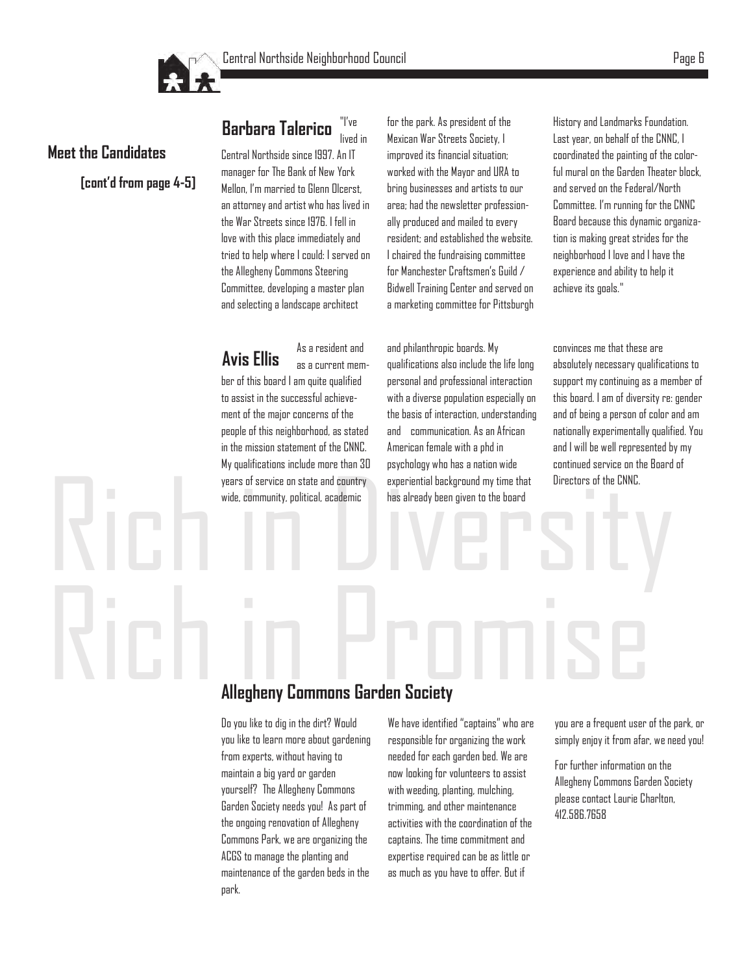

## **Meet the Candidates**

**[cont"d from page 4-5]**

lived in Central Northside since 1997. An IT manager for The Bank of New York Mellon, I'm married to Glenn Olcerst, an attorney and artist who has lived in the War Streets since 1976. I fell in love with this place immediately and tried to help where I could: I served on the Allegheny Commons Steering Committee, developing a master plan and selecting a landscape architect

**Avis Ellis** As a resident and as a current member of this board I am quite qualified to assist in the successful achievement of the major concerns of the people of this neighborhood, as stated in the mission statement of the CNNC. My qualifications include more than 30 years of service on state and country wide, community, political, academic

**Barbara Talerico** "I've

for the park. As president of the Mexican War Streets Society, I improved its financial situation; worked with the Mayor and URA to bring businesses and artists to our area; had the newsletter professionally produced and mailed to every resident; and established the website. I chaired the fundraising committee for Manchester Craftsmen's Guild / Bidwell Training Center and served on a marketing committee for Pittsburgh

years of service on state and country<br>wide, community, political, academic has already been given to the board<br>has already been given to the board and philanthropic boards. My qualifications also include the life long personal and professional interaction with a diverse population especially on the basis of interaction, understanding and communication. As an African American female with a phd in psychology who has a nation wide experiential background my time that has already been given to the board

History and Landmarks Foundation. Last year, on behalf of the CNNC, I coordinated the painting of the colorful mural on the Garden Theater block, and served on the Federal/North Committee. I'm running for the CNNC Board because this dynamic organization is making great strides for the neighborhood I love and I have the experience and ability to help it achieve its goals."

convinces me that these are absolutely necessary qualifications to support my continuing as a member of this board. I am of diversity re: gender and of being a person of color and am nationally experimentally qualified. You and I will be well represented by my continued service on the Board of Directors of the CNNC.

# Rich in Property Commons Garden Society **Allegheny Commons Garden Society**

Do you like to dig in the dirt? Would you like to learn more about gardening from experts, without having to maintain a big yard or garden yourself? The Allegheny Commons Garden Society needs you! As part of the ongoing renovation of Allegheny Commons Park, we are organizing the ACGS to manage the planting and maintenance of the garden beds in the park.

We have identified "captains" who are responsible for organizing the work needed for each garden bed. We are now looking for volunteers to assist with weeding, planting, mulching, trimming, and other maintenance activities with the coordination of the captains. The time commitment and expertise required can be as little or as much as you have to offer. But if

you are a frequent user of the park, or simply enjoy it from afar, we need you!

For further information on the Allegheny Commons Garden Society please contact Laurie Charlton, 412.586.7658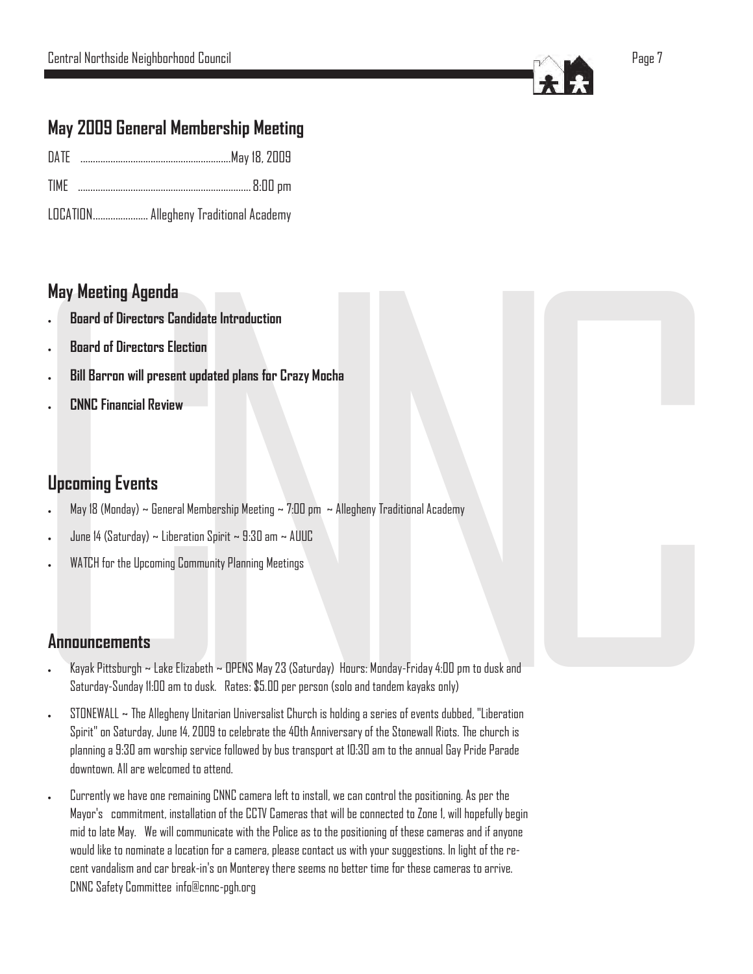

## **May 2009 General Membership Meeting**

| ŊΑ |  |  |  |
|----|--|--|--|
|----|--|--|--|

- TIME ..................................................................... 8:00 pm
- LOCATION...................... Allegheny Traditional Academy

## **May Meeting Agenda**

- **Board of Directors Candidate Introduction**
- **Board of Directors Election**
- **Bill Barron will present updated plans for Crazy Mocha**
- **CNNC Financial Review**

## **Upcoming Events**

- May 18 (Monday)  $\sim$  General Membership Meeting  $\sim$  7:00 pm  $\sim$  Allegheny Traditional Academy
- June 14 (Saturday) ~ Liberation Spirit ~ 9:30 am ~ AUUC
- WATCH for the Upcoming Community Planning Meetings

## **Announcements**

- Kayak Pittsburgh ~ Lake Elizabeth ~ OPENS May 23 (Saturday) Hours: Monday-Friday 4:00 pm to dusk and Saturday -Sunday 11:00 am to dusk. Rates: \$5.00 per person (solo and tandem kayaks only)
- May Meeting Agenda<br>
. Board of Directors Candidate Intr<br>
. Board of Directors Election<br>
. Bill Barron will present updated p<br>
. CNNC Financial Review<br>
. CNNC Financial Review<br>
. CNNC Financial Review<br>
. WATCH for the Upcom didate Introduction<br>
tion<br>
tion<br>
tion<br>
Membership Meeting ~ 7:00 pm ~ Allegheny Tradi<br>
ation Spirit ~ 9:30 am ~ AUUC<br>
ommunity Planning Meetings<br>
xabeth ~ OPENS May 23 (Saturday) Hours: Monday<br>
xabeth ~ OPENS May 23 (Satur egheny Traditional Academy<br>
urs: Monday-Friday 4:00 pm to dusk and<br>
and tandem kayaks only)<br>
ing a series of events dubbed, "Liberation<br>
ary of the Stonewall Riots. The church is<br>
0.30 cm to the appula Env Anida Bonda ad<br>an<br>s<br>s<br>s  $\bullet$ Spirit" on Saturday, June 14, 2009 to celebrate the 40th Anniversary of the Stonewall Riots. The church is planning a 9:30 am worship service followed by bus transport at 10:30 am to the annual Gay Pride Parade downtown. All are welcomed to attend.  $\texttt{STONEWALL} \sim \text{The Allegheny Unitarian Universalist Church is holding a series of events dubbed, "Liberation$ i l i i l i i , i i
	- Currently we have one remaining CNNC camera left to install, we can control the positioning. As per the Mayor's commitment, installation of the CCTV Cameras that will be connected to Zone 1, will hopefully begin mid to late May. We will communicate with the Police as to the positioning of these cameras and if anyone would like to nominate a location for a camera, please contact us with your suggestions. In light of the recent vandalism and car break-in's on Monterey there seems no better time for these cameras to arrive.<br>CNNC Safety Committee info@cnnc-pgh.org